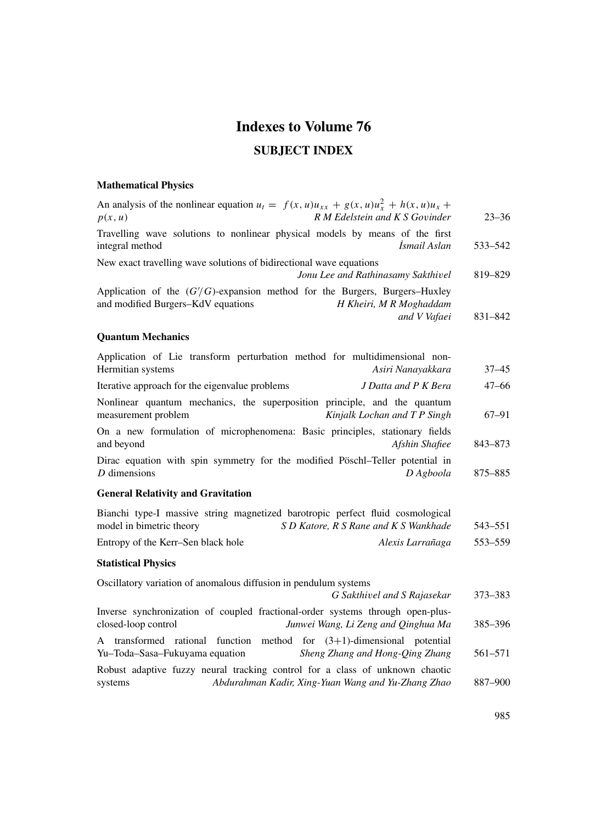# **Indexes to Volume 76**

### **SUBJECT INDEX**

# **Mathematical Physics**

| An analysis of the nonlinear equation $u_t = f(x, u)u_{xx} + g(x, u)u_x^2 + h(x, u)u_x +$<br>R M Edelstein and K S Govinder<br>p(x, u)                        | $23 - 36$ |
|---------------------------------------------------------------------------------------------------------------------------------------------------------------|-----------|
| Travelling wave solutions to nonlinear physical models by means of the first<br>integral method<br>İsmail Aslan                                               | 533–542   |
| New exact travelling wave solutions of bidirectional wave equations<br>Jonu Lee and Rathinasamy Sakthivel                                                     | 819-829   |
| Application of the $(G/G)$ -expansion method for the Burgers, Burgers–Huxley<br>and modified Burgers-KdV equations<br>H Kheiri, M R Moghaddam<br>and V Vafaei | 831-842   |
| <b>Quantum Mechanics</b>                                                                                                                                      |           |
| Application of Lie transform perturbation method for multidimensional non-<br>Hermitian systems<br>Asiri Nanayakkara                                          | $37 - 45$ |
| Iterative approach for the eigenvalue problems<br>J Datta and P K Bera                                                                                        | $47 - 66$ |
| Nonlinear quantum mechanics, the superposition principle, and the quantum<br>measurement problem<br>Kinjalk Lochan and T P Singh                              | 67–91     |
| On a new formulation of microphenomena: Basic principles, stationary fields<br>and beyond<br>Afshin Shafiee                                                   | 843-873   |
| Dirac equation with spin symmetry for the modified Pöschl-Teller potential in<br>$D$ dimensions<br>D Agboola                                                  | 875-885   |
| <b>General Relativity and Gravitation</b>                                                                                                                     |           |
| Bianchi type-I massive string magnetized barotropic perfect fluid cosmological<br>model in bimetric theory<br>S D Katore, R S Rane and K S Wankhade           | 543–551   |
| Entropy of the Kerr-Sen black hole<br>Alexis Larrañaga                                                                                                        | 553-559   |
| <b>Statistical Physics</b>                                                                                                                                    |           |
| Oscillatory variation of anomalous diffusion in pendulum systems<br>G Sakthivel and S Rajasekar                                                               | 373-383   |
| Inverse synchronization of coupled fractional-order systems through open-plus-<br>closed-loop control<br>Junwei Wang, Li Zeng and Qinghua Ma                  | 385-396   |
| A transformed rational function method for $(3+1)$ -dimensional potential<br>Yu-Toda-Sasa-Fukuyama equation<br>Sheng Zhang and Hong-Qing Zhang                | 561-571   |
| Robust adaptive fuzzy neural tracking control for a class of unknown chaotic<br>Abdurahman Kadir, Xing-Yuan Wang and Yu-Zhang Zhao<br>systems                 | 887-900   |
|                                                                                                                                                               |           |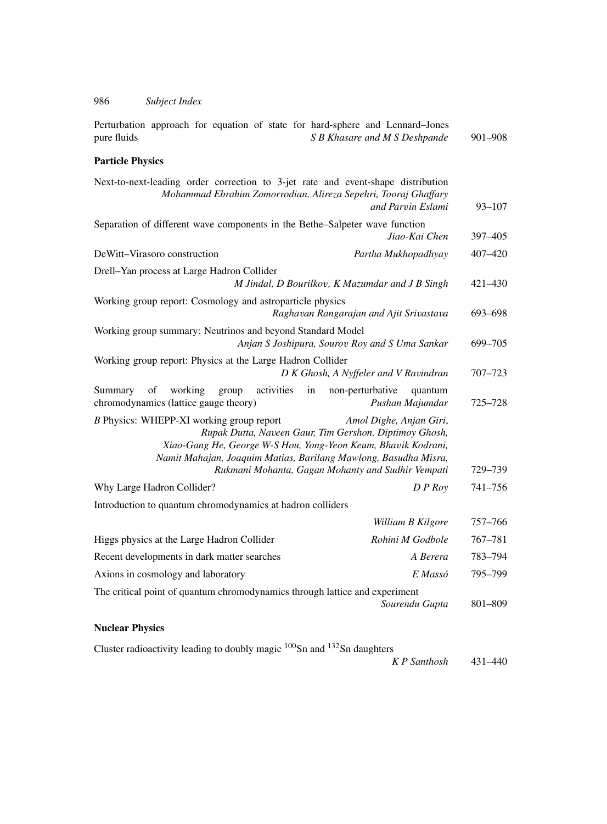| Perturbation approach for equation of state for hard-sphere and Lennard-Jones<br>S B Khasare and M S Deshpande<br>pure fluids                                                                                                                                                                                          | 901-908    |
|------------------------------------------------------------------------------------------------------------------------------------------------------------------------------------------------------------------------------------------------------------------------------------------------------------------------|------------|
| <b>Particle Physics</b>                                                                                                                                                                                                                                                                                                |            |
| Next-to-next-leading order correction to 3-jet rate and event-shape distribution<br>Mohammad Ebrahim Zomorrodian, Alireza Sepehri, Tooraj Ghaffary<br>and Parvin Eslami                                                                                                                                                | $93 - 107$ |
| Separation of different wave components in the Bethe-Salpeter wave function<br>Jiao-Kai Chen                                                                                                                                                                                                                           | 397-405    |
| DeWitt-Virasoro construction<br>Partha Mukhopadhyay                                                                                                                                                                                                                                                                    | 407-420    |
| Drell-Yan process at Large Hadron Collider<br>M Jindal, D Bourilkov, K Mazumdar and J B Singh                                                                                                                                                                                                                          | 421-430    |
| Working group report: Cosmology and astroparticle physics<br>Raghavan Rangarajan and Ajit Srivastava                                                                                                                                                                                                                   | 693-698    |
| Working group summary: Neutrinos and beyond Standard Model<br>Anjan S Joshipura, Sourov Roy and S Uma Sankar                                                                                                                                                                                                           | 699-705    |
| Working group report: Physics at the Large Hadron Collider<br>D K Ghosh, A Nyffeler and V Ravindran                                                                                                                                                                                                                    | 707–723    |
| working<br>activities<br>Summary<br>of<br>group<br>in<br>non-perturbative<br>quantum<br>chromodynamics (lattice gauge theory)<br>Pushan Majumdar                                                                                                                                                                       | 725-728    |
| B Physics: WHEPP-XI working group report<br>Amol Dighe, Anjan Giri,<br>Rupak Dutta, Naveen Gaur, Tim Gershon, Diptimoy Ghosh,<br>Xiao-Gang He, George W-S Hou, Yong-Yeon Keum, Bhavik Kodrani,<br>Namit Mahajan, Joaquim Matias, Barilang Mawlong, Basudha Misra,<br>Rukmani Mohanta, Gagan Mohanty and Sudhir Vempati | 729–739    |
| Why Large Hadron Collider?<br>$D$ P Roy                                                                                                                                                                                                                                                                                | 741-756    |
| Introduction to quantum chromodynamics at hadron colliders                                                                                                                                                                                                                                                             |            |
| William B Kilgore                                                                                                                                                                                                                                                                                                      | 757–766    |
| Rohini M Godbole<br>Higgs physics at the Large Hadron Collider                                                                                                                                                                                                                                                         | 767-781    |
| Recent developments in dark matter searches<br>A Berera                                                                                                                                                                                                                                                                | 783-794    |
| E Massó<br>Axions in cosmology and laboratory                                                                                                                                                                                                                                                                          | 795-799    |
| The critical point of quantum chromodynamics through lattice and experiment<br>Sourendu Gupta                                                                                                                                                                                                                          | 801-809    |

### **Nuclear Physics**

Cluster radioactivity leading to doubly magic  $100$ Sn and  $132$ Sn daughters

*K P Santhosh* 431–440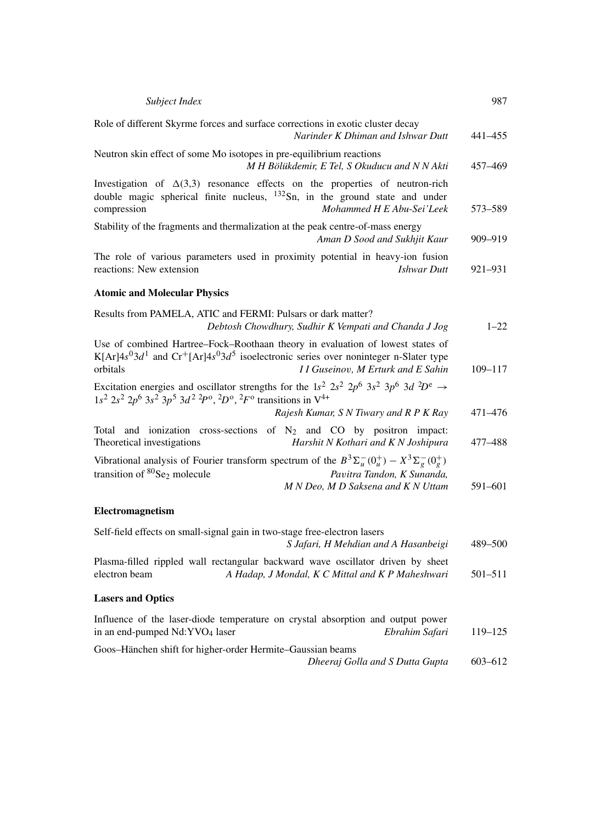| Subject Index                                                                                                                                                                                                                                          | 987         |
|--------------------------------------------------------------------------------------------------------------------------------------------------------------------------------------------------------------------------------------------------------|-------------|
| Role of different Skyrme forces and surface corrections in exotic cluster decay<br>Narinder K Dhiman and Ishwar Dutt                                                                                                                                   | 441-455     |
| Neutron skin effect of some Mo isotopes in pre-equilibrium reactions<br>M H Bölükdemir, E Tel, S Okuducu and N N Akti                                                                                                                                  | 457-469     |
| Investigation of $\Delta(3,3)$ resonance effects on the properties of neutron-rich<br>double magic spherical finite nucleus, $^{132}Sn$ , in the ground state and under<br>compression<br>Mohammed H E Abu-Sei'Leek                                    | 573-589     |
| Stability of the fragments and thermalization at the peak centre-of-mass energy<br>Aman D Sood and Sukhjit Kaur                                                                                                                                        | 909-919     |
| The role of various parameters used in proximity potential in heavy-ion fusion<br>reactions: New extension<br><b>Ishwar</b> Dutt                                                                                                                       | 921-931     |
| <b>Atomic and Molecular Physics</b>                                                                                                                                                                                                                    |             |
| Results from PAMELA, ATIC and FERMI: Pulsars or dark matter?<br>Debtosh Chowdhury, Sudhir K Vempati and Chanda J Jog                                                                                                                                   | $1 - 22$    |
| Use of combined Hartree-Fock-Roothaan theory in evaluation of lowest states of<br>K[Ar] $4s^03d^1$ and Cr <sup>+</sup> [Ar] $4s^03d^5$ isoelectronic series over noninteger n-Slater type<br>orbitals<br>I I Guseinov, M Erturk and E Sahin            | $109 - 117$ |
| Excitation energies and oscillator strengths for the 1s <sup>2</sup> $2s^2 2p^6 3s^2 3p^6 3d^2D^e \rightarrow$<br>$1s^2$ $2s^2$ $2p^6$ $3s^2$ $3p^5$ $3d^2$ $2p^0$ , $2p^0$ , $2F^0$ transitions in $V^{4+}$<br>Rajesh Kumar, S N Tiwary and R P K Ray | 471-476     |
| Total and ionization cross-sections of $N_2$ and CO by positron impact:<br>Theoretical investigations<br>Harshit N Kothari and K N Joshipura                                                                                                           | 477-488     |
| Vibrational analysis of Fourier transform spectrum of the $B^3\Sigma_u^-(0_u^+) - X^3\Sigma_g^-(0_s^+)$<br>transition of ${}^{80}Se_2$ molecule<br>Pavitra Tandon, K Sunanda,<br>M N Deo, M D Saksena and K N Uttam                                    | 591-601     |
| Electromagnetism                                                                                                                                                                                                                                       |             |
| Self-field effects on small-signal gain in two-stage free-electron lasers<br>S Jafari, H Mehdian and A Hasanbeigi                                                                                                                                      | 489-500     |
| Plasma-filled rippled wall rectangular backward wave oscillator driven by sheet<br>electron beam<br>A Hadap, J Mondal, K C Mittal and K P Maheshwari                                                                                                   | 501-511     |
| <b>Lasers and Optics</b>                                                                                                                                                                                                                               |             |
| Influence of the laser-diode temperature on crystal absorption and output power<br>in an end-pumped Nd:YVO <sub>4</sub> laser<br>Ebrahim Safari                                                                                                        | 119-125     |
| Goos-Hänchen shift for higher-order Hermite-Gaussian beams<br>Dheeraj Golla and S Dutta Gupta                                                                                                                                                          | 603-612     |
|                                                                                                                                                                                                                                                        |             |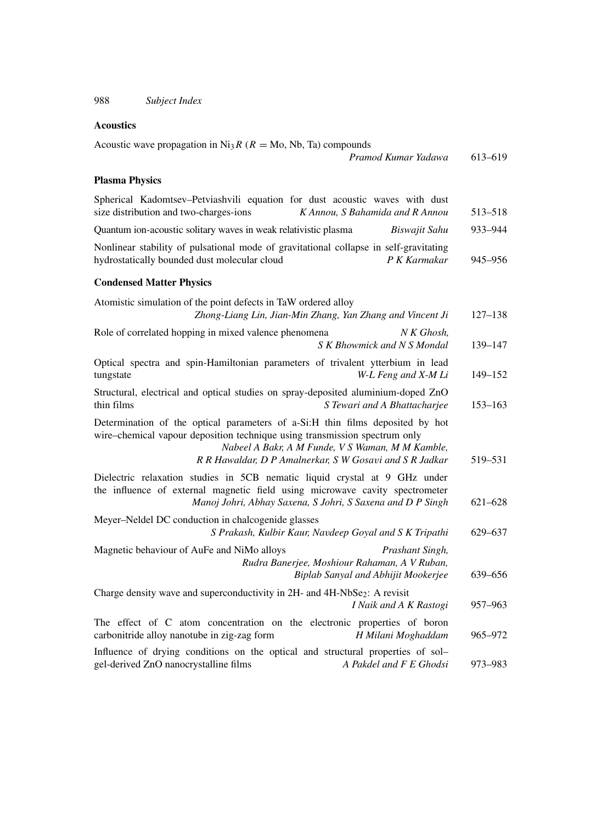#### **Acoustics**

| Acoustic wave propagation in Ni <sub>3</sub> R ( $R = Mo$ , Nb, Ta) compounds                                                                                                                                                                                              |             |
|----------------------------------------------------------------------------------------------------------------------------------------------------------------------------------------------------------------------------------------------------------------------------|-------------|
| Pramod Kumar Yadawa                                                                                                                                                                                                                                                        | 613-619     |
| <b>Plasma Physics</b>                                                                                                                                                                                                                                                      |             |
| Spherical Kadomtsev-Petviashvili equation for dust acoustic waves with dust<br>size distribution and two-charges-ions<br>K Annou, S Bahamida and R Annou                                                                                                                   | 513–518     |
| Quantum ion-acoustic solitary waves in weak relativistic plasma<br>Biswajit Sahu                                                                                                                                                                                           | 933-944     |
| Nonlinear stability of pulsational mode of gravitational collapse in self-gravitating<br>hydrostatically bounded dust molecular cloud<br>P K Karmakar                                                                                                                      | 945–956     |
| <b>Condensed Matter Physics</b>                                                                                                                                                                                                                                            |             |
| Atomistic simulation of the point defects in TaW ordered alloy<br>Zhong-Liang Lin, Jian-Min Zhang, Yan Zhang and Vincent Ji                                                                                                                                                | $127 - 138$ |
| Role of correlated hopping in mixed valence phenomena<br>N K Ghosh,<br>S K Bhowmick and N S Mondal                                                                                                                                                                         | 139–147     |
| Optical spectra and spin-Hamiltonian parameters of trivalent ytterbium in lead<br>W-L Feng and X-M Li<br>tungstate                                                                                                                                                         | $149 - 152$ |
| Structural, electrical and optical studies on spray-deposited aluminium-doped ZnO<br>thin films<br>S Tewari and A Bhattacharjee                                                                                                                                            | $153 - 163$ |
| Determination of the optical parameters of a-Si:H thin films deposited by hot<br>wire-chemical vapour deposition technique using transmission spectrum only<br>Nabeel A Bakr, A M Funde, V S Waman, M M Kamble,<br>R R Hawaldar, D P Amalnerkar, S W Gosavi and S R Jadkar | 519–531     |
| Dielectric relaxation studies in 5CB nematic liquid crystal at 9 GHz under<br>the influence of external magnetic field using microwave cavity spectrometer<br>Manoj Johri, Abhay Saxena, S Johri, S Saxena and D P Singh                                                   | $621 - 628$ |
| Meyer-Neldel DC conduction in chalcogenide glasses<br>S Prakash, Kulbir Kaur, Navdeep Goyal and S K Tripathi                                                                                                                                                               | 629-637     |
| Magnetic behaviour of AuFe and NiMo alloys<br>Prashant Singh,<br>Rudra Banerjee, Moshiour Rahaman, A V Ruban,<br>Biplab Sanyal and Abhijit Mookerjee                                                                                                                       | 639-656     |
| Charge density wave and superconductivity in 2H- and 4H-NbSe <sub>2</sub> : A revisit<br><i>I Naik and A K Rastogi</i>                                                                                                                                                     | 957–963     |
| The effect of C atom concentration on the electronic properties of boron<br>carbonitride alloy nanotube in zig-zag form<br>H Milani Moghaddam                                                                                                                              | 965-972     |
| Influence of drying conditions on the optical and structural properties of sol-<br>gel-derived ZnO nanocrystalline films<br>A Pakdel and F E Ghodsi                                                                                                                        | 973–983     |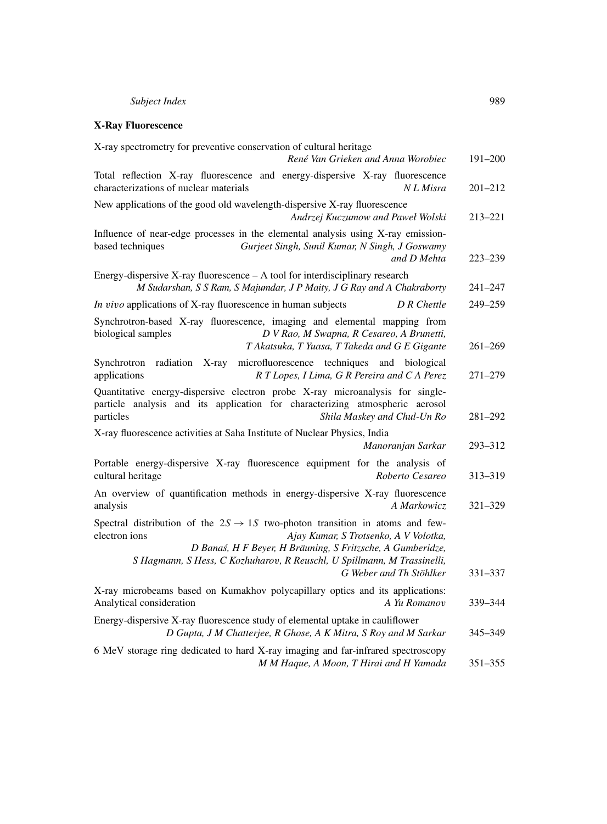#### **X-Ray Fluorescence**

| X-ray spectrometry for preventive conservation of cultural heritage<br>René Van Grieken and Anna Worobiec                                                                                                                                                                                                              | 191-200     |
|------------------------------------------------------------------------------------------------------------------------------------------------------------------------------------------------------------------------------------------------------------------------------------------------------------------------|-------------|
| Total reflection X-ray fluorescence and energy-dispersive X-ray fluorescence<br>characterizations of nuclear materials<br>N L Misra                                                                                                                                                                                    | $201 - 212$ |
| New applications of the good old wavelength-dispersive X-ray fluorescence<br>Andrzej Kuczumow and Paweł Wolski                                                                                                                                                                                                         | 213-221     |
| Influence of near-edge processes in the elemental analysis using X-ray emission-<br>based techniques<br>Gurjeet Singh, Sunil Kumar, N Singh, J Goswamy<br>and D Mehta                                                                                                                                                  | $223 - 239$ |
| Energy-dispersive X-ray fluorescence $- A$ tool for interdisciplinary research<br>M Sudarshan, S S Ram, S Majumdar, J P Maity, J G Ray and A Chakraborty                                                                                                                                                               | $241 - 247$ |
| In vivo applications of X-ray fluorescence in human subjects<br>D R Chettle                                                                                                                                                                                                                                            | 249-259     |
| Synchrotron-based X-ray fluorescence, imaging and elemental mapping from<br>biological samples<br>D V Rao, M Swapna, R Cesareo, A Brunetti,<br>T Akatsuka, T Yuasa, T Takeda and G E Gigante                                                                                                                           | $261 - 269$ |
| Synchrotron<br>X-ray<br>microfluorescence techniques<br>and biological<br>radiation<br>applications<br>R T Lopes, I Lima, G R Pereira and C A Perez                                                                                                                                                                    | $271 - 279$ |
| Quantitative energy-dispersive electron probe X-ray microanalysis for single-<br>particle analysis and its application for characterizing atmospheric aerosol<br>particles<br>Shila Maskey and Chul-Un Ro                                                                                                              | $281 - 292$ |
| X-ray fluorescence activities at Saha Institute of Nuclear Physics, India<br>Manoranjan Sarkar                                                                                                                                                                                                                         | 293-312     |
| Portable energy-dispersive X-ray fluorescence equipment for the analysis of<br>cultural heritage<br>Roberto Cesareo                                                                                                                                                                                                    | 313-319     |
| An overview of quantification methods in energy-dispersive X-ray fluorescence<br>analysis<br>A Markowicz                                                                                                                                                                                                               | $321 - 329$ |
| Spectral distribution of the $2S \rightarrow 1S$ two-photon transition in atoms and few-<br>electron ions<br>Ajay Kumar, S Trotsenko, A V Volotka,<br>D Banaś, H F Beyer, H Bräuning, S Fritzsche, A Gumberidze,<br>S Hagmann, S Hess, C Kozhuharov, R Reuschl, U Spillmann, M Trassinelli,<br>G Weber and Th Stöhlker | $331 - 337$ |
| X-ray microbeams based on Kumakhov polycapillary optics and its applications:<br>Analytical consideration<br>A Yu Romanov                                                                                                                                                                                              | 339-344     |
| Energy-dispersive X-ray fluorescence study of elemental uptake in cauliflower<br>D Gupta, J M Chatterjee, R Ghose, A K Mitra, S Roy and M Sarkar                                                                                                                                                                       | 345-349     |
| 6 MeV storage ring dedicated to hard X-ray imaging and far-infrared spectroscopy<br>M M Haque, A Moon, T Hirai and H Yamada                                                                                                                                                                                            | 351-355     |